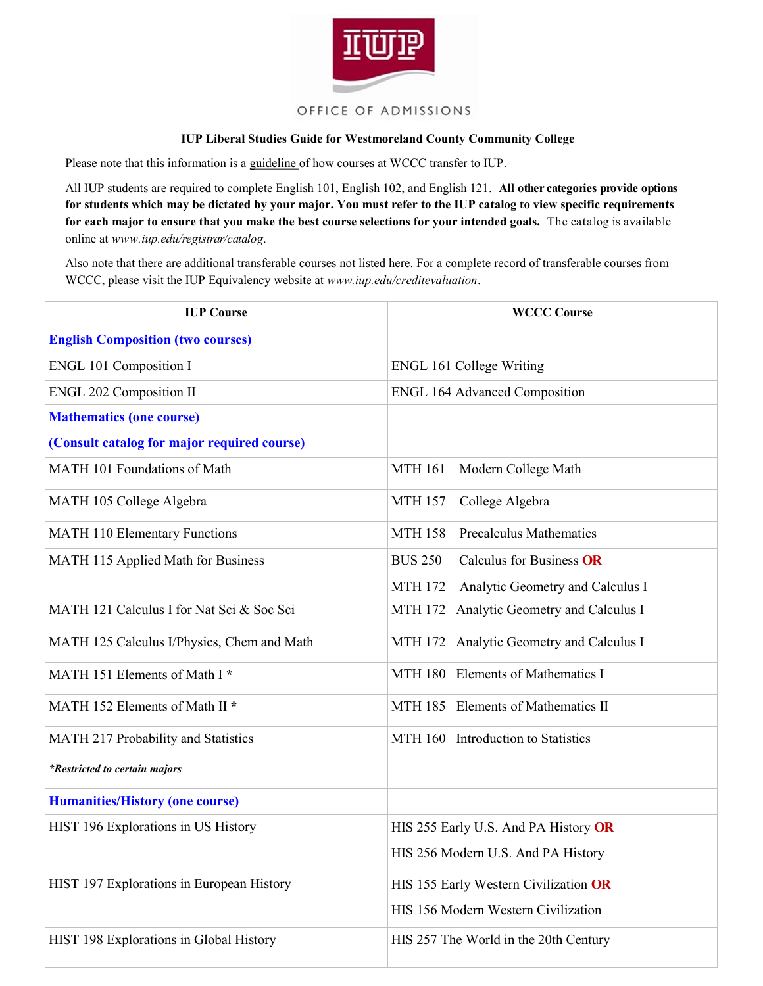

## OFFICE OF ADMISSIONS

## **IUP Liberal Studies Guide for Westmoreland County Community College**

Please note that this information is a guideline of how courses at WCCC transfer to IUP.

All IUP students are required to complete English 101, English 102, and English 121. **All other categories provide options for students which may be dictated by your major. You must refer to the IUP catalog to view specific requirements for each major to ensure that you make the best course selections for your intended goals.** The catalog is available online at *www.iup.edu/registrar/catalog*.

Also note that there are additional transferable courses not listed here. For a complete record of transferable courses from WCCC, please visit the IUP Equivalency website at *www.iup.edu/creditevaluation*.

| <b>IUP Course</b>                           | <b>WCCC Course</b>                                 |
|---------------------------------------------|----------------------------------------------------|
| <b>English Composition (two courses)</b>    |                                                    |
| <b>ENGL 101 Composition I</b>               | <b>ENGL 161 College Writing</b>                    |
| <b>ENGL 202 Composition II</b>              | <b>ENGL 164 Advanced Composition</b>               |
| <b>Mathematics (one course)</b>             |                                                    |
| (Consult catalog for major required course) |                                                    |
| MATH 101 Foundations of Math                | <b>MTH 161</b><br>Modern College Math              |
| MATH 105 College Algebra                    | College Algebra<br><b>MTH 157</b>                  |
| <b>MATH 110 Elementary Functions</b>        | <b>MTH 158</b><br><b>Precalculus Mathematics</b>   |
| MATH 115 Applied Math for Business          | <b>BUS 250</b><br>Calculus for Business OR         |
|                                             | Analytic Geometry and Calculus I<br><b>MTH 172</b> |
| MATH 121 Calculus I for Nat Sci & Soc Sci   | Analytic Geometry and Calculus I<br>MTH 172        |
| MATH 125 Calculus I/Physics, Chem and Math  | MTH 172 Analytic Geometry and Calculus I           |
| MATH 151 Elements of Math I*                | MTH 180 Elements of Mathematics I                  |
| MATH 152 Elements of Math II *              | MTH 185 Elements of Mathematics II                 |
| MATH 217 Probability and Statistics         | MTH 160 Introduction to Statistics                 |
| <i>*Restricted to certain majors</i>        |                                                    |
| <b>Humanities/History (one course)</b>      |                                                    |
| HIST 196 Explorations in US History         | HIS 255 Early U.S. And PA History OR               |
|                                             | HIS 256 Modern U.S. And PA History                 |
| HIST 197 Explorations in European History   | HIS 155 Early Western Civilization OR              |
|                                             | HIS 156 Modern Western Civilization                |
| HIST 198 Explorations in Global History     | HIS 257 The World in the 20th Century              |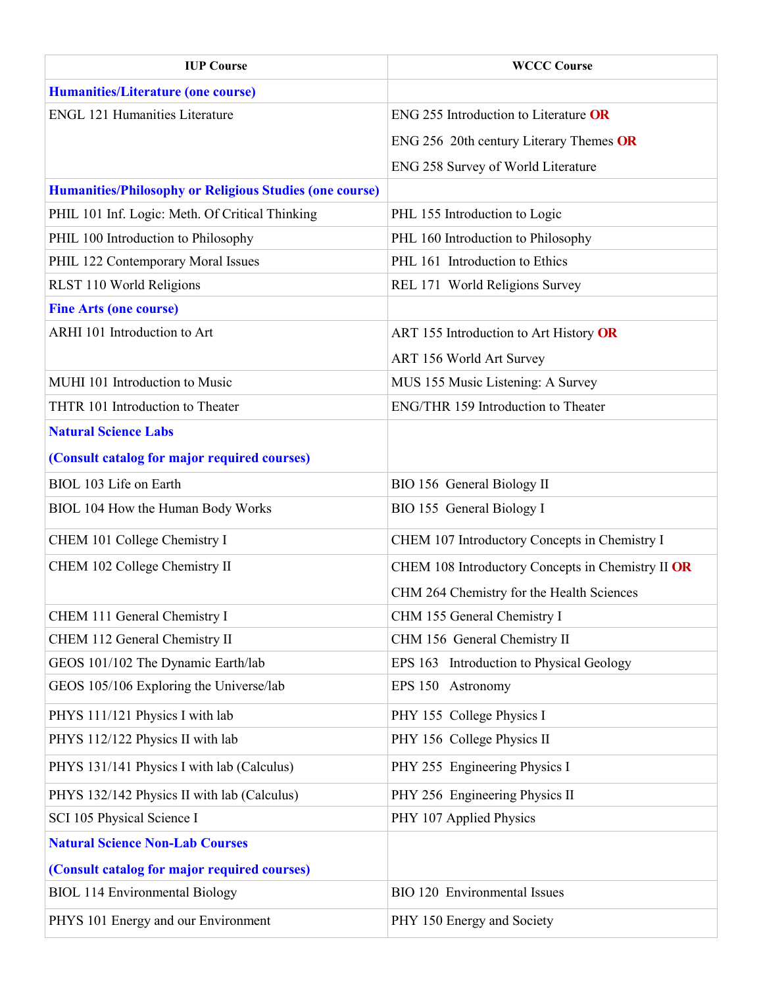| <b>IUP Course</b>                                              | <b>WCCC Course</b>                                |
|----------------------------------------------------------------|---------------------------------------------------|
| <b>Humanities/Literature (one course)</b>                      |                                                   |
| <b>ENGL 121 Humanities Literature</b>                          | ENG 255 Introduction to Literature OR             |
|                                                                | ENG 256 20th century Literary Themes OR           |
|                                                                | ENG 258 Survey of World Literature                |
| <b>Humanities/Philosophy or Religious Studies (one course)</b> |                                                   |
| PHIL 101 Inf. Logic: Meth. Of Critical Thinking                | PHL 155 Introduction to Logic                     |
| PHIL 100 Introduction to Philosophy                            | PHL 160 Introduction to Philosophy                |
| PHIL 122 Contemporary Moral Issues                             | PHL 161 Introduction to Ethics                    |
| RLST 110 World Religions                                       | REL 171 World Religions Survey                    |
| <b>Fine Arts (one course)</b>                                  |                                                   |
| ARHI 101 Introduction to Art                                   | ART 155 Introduction to Art History OR            |
|                                                                | <b>ART 156 World Art Survey</b>                   |
| MUHI 101 Introduction to Music                                 | MUS 155 Music Listening: A Survey                 |
| THTR 101 Introduction to Theater                               | ENG/THR 159 Introduction to Theater               |
| <b>Natural Science Labs</b>                                    |                                                   |
| (Consult catalog for major required courses)                   |                                                   |
| BIOL 103 Life on Earth                                         | BIO 156 General Biology II                        |
| BIOL 104 How the Human Body Works                              | BIO 155 General Biology I                         |
| CHEM 101 College Chemistry I                                   | CHEM 107 Introductory Concepts in Chemistry I     |
| CHEM 102 College Chemistry II                                  | CHEM 108 Introductory Concepts in Chemistry II OR |
|                                                                | CHM 264 Chemistry for the Health Sciences         |
| CHEM 111 General Chemistry I                                   | CHM 155 General Chemistry I                       |
| CHEM 112 General Chemistry II                                  | CHM 156 General Chemistry II                      |
| GEOS 101/102 The Dynamic Earth/lab                             | EPS 163 Introduction to Physical Geology          |
| GEOS 105/106 Exploring the Universe/lab                        | EPS 150 Astronomy                                 |
| PHYS 111/121 Physics I with lab                                | PHY 155 College Physics I                         |
| PHYS 112/122 Physics II with lab                               | PHY 156 College Physics II                        |
| PHYS 131/141 Physics I with lab (Calculus)                     | PHY 255 Engineering Physics I                     |
| PHYS 132/142 Physics II with lab (Calculus)                    | PHY 256 Engineering Physics II                    |
| SCI 105 Physical Science I                                     | PHY 107 Applied Physics                           |
| <b>Natural Science Non-Lab Courses</b>                         |                                                   |
| (Consult catalog for major required courses)                   |                                                   |
| <b>BIOL 114 Environmental Biology</b>                          | BIO 120 Environmental Issues                      |
| PHYS 101 Energy and our Environment                            | PHY 150 Energy and Society                        |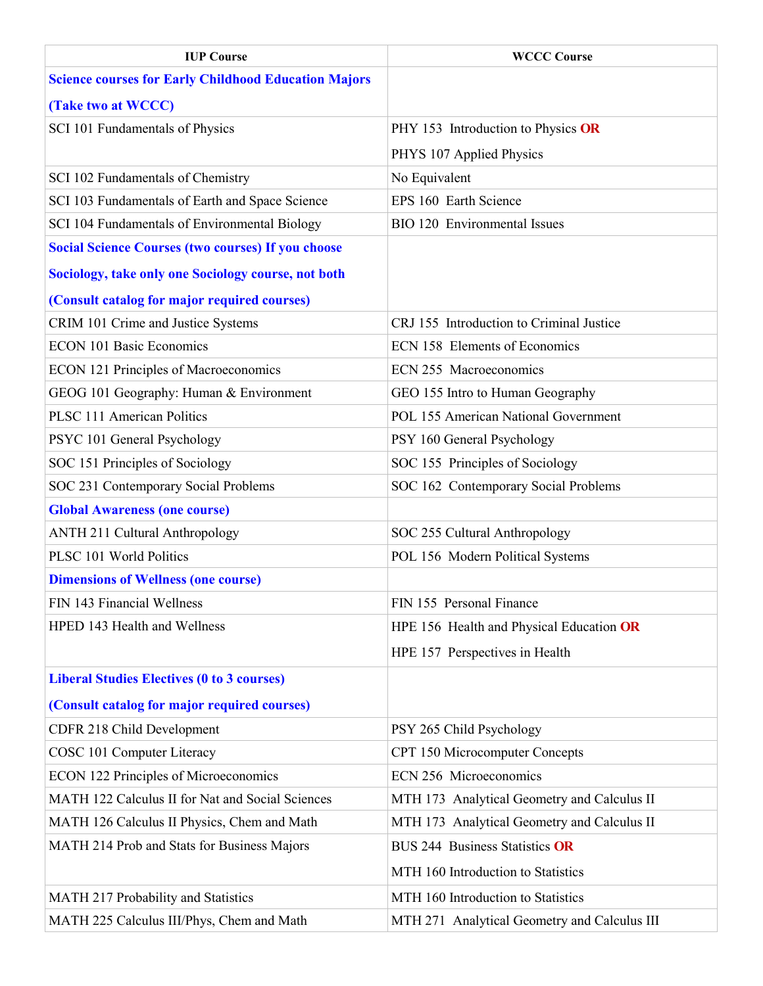| <b>IUP Course</b>                                           | <b>WCCC Course</b>                           |
|-------------------------------------------------------------|----------------------------------------------|
| <b>Science courses for Early Childhood Education Majors</b> |                                              |
| (Take two at WCCC)                                          |                                              |
| SCI 101 Fundamentals of Physics                             | PHY 153 Introduction to Physics OR           |
|                                                             | PHYS 107 Applied Physics                     |
| SCI 102 Fundamentals of Chemistry                           | No Equivalent                                |
| SCI 103 Fundamentals of Earth and Space Science             | EPS 160 Earth Science                        |
| SCI 104 Fundamentals of Environmental Biology               | BIO 120 Environmental Issues                 |
| <b>Social Science Courses (two courses) If you choose</b>   |                                              |
| <b>Sociology, take only one Sociology course, not both</b>  |                                              |
| (Consult catalog for major required courses)                |                                              |
| CRIM 101 Crime and Justice Systems                          | CRJ 155 Introduction to Criminal Justice     |
| <b>ECON 101 Basic Economics</b>                             | ECN 158 Elements of Economics                |
| <b>ECON 121 Principles of Macroeconomics</b>                | ECN 255 Macroeconomics                       |
| GEOG 101 Geography: Human & Environment                     | GEO 155 Intro to Human Geography             |
| <b>PLSC 111 American Politics</b>                           | POL 155 American National Government         |
| PSYC 101 General Psychology                                 | PSY 160 General Psychology                   |
| SOC 151 Principles of Sociology                             | SOC 155 Principles of Sociology              |
| SOC 231 Contemporary Social Problems                        | SOC 162 Contemporary Social Problems         |
| <b>Global Awareness (one course)</b>                        |                                              |
| <b>ANTH 211 Cultural Anthropology</b>                       | SOC 255 Cultural Anthropology                |
| PLSC 101 World Politics                                     | POL 156 Modern Political Systems             |
| <b>Dimensions of Wellness (one course)</b>                  |                                              |
| FIN 143 Financial Wellness                                  | FIN 155 Personal Finance                     |
| HPED 143 Health and Wellness                                | HPE 156 Health and Physical Education OR     |
|                                                             | HPE 157 Perspectives in Health               |
| <b>Liberal Studies Electives (0 to 3 courses)</b>           |                                              |
| (Consult catalog for major required courses)                |                                              |
| CDFR 218 Child Development                                  | PSY 265 Child Psychology                     |
| COSC 101 Computer Literacy                                  | CPT 150 Microcomputer Concepts               |
| <b>ECON 122 Principles of Microeconomics</b>                | ECN 256 Microeconomics                       |
| MATH 122 Calculus II for Nat and Social Sciences            | MTH 173 Analytical Geometry and Calculus II  |
| MATH 126 Calculus II Physics, Chem and Math                 | MTH 173 Analytical Geometry and Calculus II  |
| MATH 214 Prob and Stats for Business Majors                 | <b>BUS 244 Business Statistics OR</b>        |
|                                                             | MTH 160 Introduction to Statistics           |
| MATH 217 Probability and Statistics                         | MTH 160 Introduction to Statistics           |
| MATH 225 Calculus III/Phys, Chem and Math                   | MTH 271 Analytical Geometry and Calculus III |